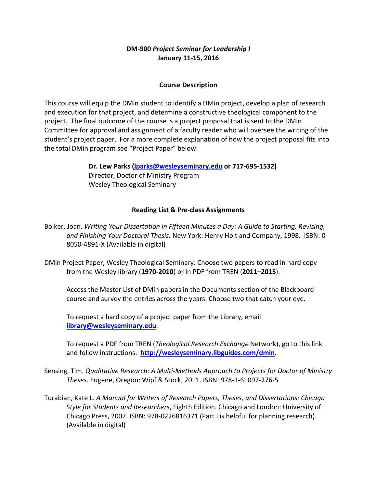## **DM‐900** *Project Seminar for Leadership I* **January 11‐15, 2016**

### **Course Description**

This course will equip the DMin student to identify a DMin project, develop a plan of research and execution for that project, and determine a constructive theological component to the project. The final outcome of the course is a project proposal that is sent to the DMin Committee for approval and assignment of a faculty reader who will oversee the writing of the student's project paper. For a more complete explanation of how the project proposal fits into the total DMin program see "Project Paper" below.

> **Dr. Lew Parks (lparks@wesleyseminary.edu or 717‐695‐1532)** Director, Doctor of Ministry Program Wesley Theological Seminary

#### **Reading List & Pre‐class Assignments**

Bolker, Joan. *Writing Your Dissertation in Fifteen Minutes a Day: A Guide to Starting, Revising, and Finishing Your Doctoral Thesis.* New York: Henry Holt and Company, 1998. ISBN: 0‐ 8050‐4891‐X (Available in digital)

DMin Project Paper, Wesley Theological Seminary. Choose two papers to read in hard copy from the Wesley library (**1970‐2010**) or in PDF from TREN (**2011–2015**).

Access the Master List of DMin papers in the Documents section of the Blackboard course and survey the entries across the years. Choose two that catch your eye.

To request a hard copy of a project paper from the Library, email **library@wesleyseminary.edu**.

To request a PDF from TREN (*Theological Research Exchange* Network), go to this link and follow instructions: **http://wesleyseminary.libguides.com/dmin.**

Sensing, Tim. *Qualitative Research: A Multi‐Methods Approach to Projects for Doctor of Ministry Theses*. Eugene, Oregon: Wipf & Stock, 2011. ISBN: 978‐1‐61097‐276‐5

Turabian, Kate L. *A Manual for Writers of Research Papers, Theses, and Dissertations: Chicago Style for Students and Researchers*, Eighth Edition. Chicago and London: University of Chicago Press, 2007. ISBN: 978‐0226816371 (Part I is helpful for planning research). (Available in digital)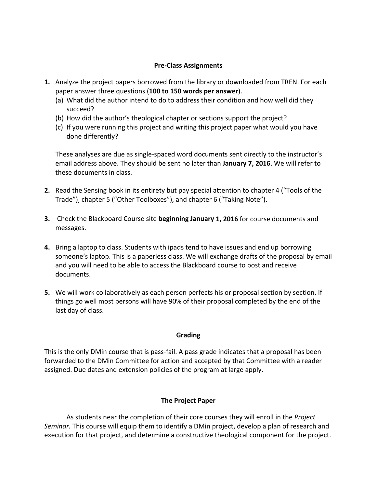#### **Pre‐Class Assignments**

- **1.** Analyze the project papers borrowed from the library or downloaded from TREN. For each paper answer three questions (**100 to 150 words per answer**).
	- (a) What did the author intend to do to address their condition and how well did they succeed?
	- (b) How did the author's theological chapter or sections support the project?
	- (c) If you were running this project and writing this project paper what would you have done differently?

These analyses are due as single‐spaced word documents sent directly to the instructor's email address above. They should be sent no later than **January 7, 2016**. We will refer to these documents in class.

- **2.** Read the Sensing book in its entirety but pay special attention to chapter 4 ("Tools of the Trade"), chapter 5 ("Other Toolboxes"), and chapter 6 ("Taking Note").
- **3.** Check the Blackboard Course site **beginning January 1, 2016** for course documents and messages.
- **4.** Bring a laptop to class. Students with ipads tend to have issues and end up borrowing someone's laptop. This is a paperless class. We will exchange drafts of the proposal by email and you will need to be able to access the Blackboard course to post and receive documents.
- **5.** We will work collaboratively as each person perfects his or proposal section by section. If things go well most persons will have 90% of their proposal completed by the end of the last day of class.

### **Grading**

This is the only DMin course that is pass‐fail. A pass grade indicates that a proposal has been forwarded to the DMin Committee for action and accepted by that Committee with a reader assigned. Due dates and extension policies of the program at large apply.

### **The Project Paper**

As students near the completion of their core courses they will enroll in the *Project Seminar.* This course will equip them to identify a DMin project, develop a plan of research and execution for that project, and determine a constructive theological component for the project.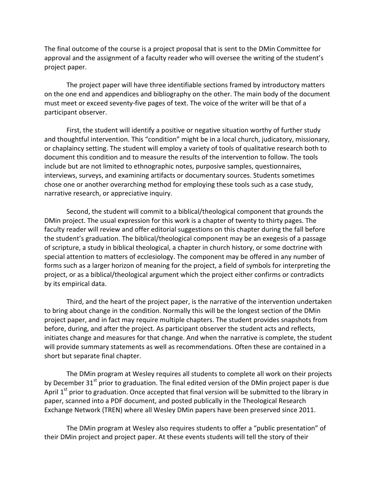The final outcome of the course is a project proposal that is sent to the DMin Committee for approval and the assignment of a faculty reader who will oversee the writing of the student's project paper.

The project paper will have three identifiable sections framed by introductory matters on the one end and appendices and bibliography on the other. The main body of the document must meet or exceed seventy‐five pages of text. The voice of the writer will be that of a participant observer.

First, the student will identify a positive or negative situation worthy of further study and thoughtful intervention. This "condition" might be in a local church, judicatory, missionary, or chaplaincy setting. The student will employ a variety of tools of qualitative research both to document this condition and to measure the results of the intervention to follow. The tools include but are not limited to ethnographic notes, purposive samples, questionnaires, interviews, surveys, and examining artifacts or documentary sources. Students sometimes chose one or another overarching method for employing these tools such as a case study, narrative research, or appreciative inquiry.

Second, the student will commit to a biblical/theological component that grounds the DMin project. The usual expression for this work is a chapter of twenty to thirty pages. The faculty reader will review and offer editorial suggestions on this chapter during the fall before the student's graduation. The biblical/theological component may be an exegesis of a passage of scripture, a study in biblical theological, a chapter in church history, or some doctrine with special attention to matters of ecclesiology. The component may be offered in any number of forms such as a larger horizon of meaning for the project, a field of symbols for interpreting the project, or as a biblical/theological argument which the project either confirms or contradicts by its empirical data.

Third, and the heart of the project paper, is the narrative of the intervention undertaken to bring about change in the condition. Normally this will be the longest section of the DMin project paper, and in fact may require multiple chapters. The student provides snapshots from before, during, and after the project. As participant observer the student acts and reflects, initiates change and measures for that change. And when the narrative is complete, the student will provide summary statements as well as recommendations. Often these are contained in a short but separate final chapter.

The DMin program at Wesley requires all students to complete all work on their projects by December 31<sup>st</sup> prior to graduation. The final edited version of the DMin project paper is due April 1<sup>st</sup> prior to graduation. Once accepted that final version will be submitted to the library in paper, scanned into a PDF document, and posted publically in the Theological Research Exchange Network (TREN) where all Wesley DMin papers have been preserved since 2011.

The DMin program at Wesley also requires students to offer a "public presentation" of their DMin project and project paper. At these events students will tell the story of their